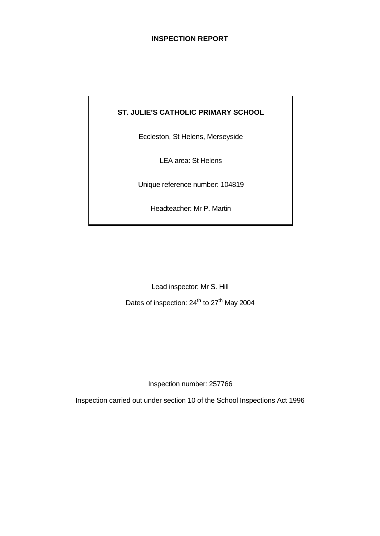## **INSPECTION REPORT**

# **ST. JULIE'S CATHOLIC PRIMARY SCHOOL**

Eccleston, St Helens, Merseyside

LEA area: St Helens

Unique reference number: 104819

Headteacher: Mr P. Martin

Lead inspector: Mr S. Hill Dates of inspection: 24<sup>th</sup> to 27<sup>th</sup> May 2004

Inspection number: 257766

Inspection carried out under section 10 of the School Inspections Act 1996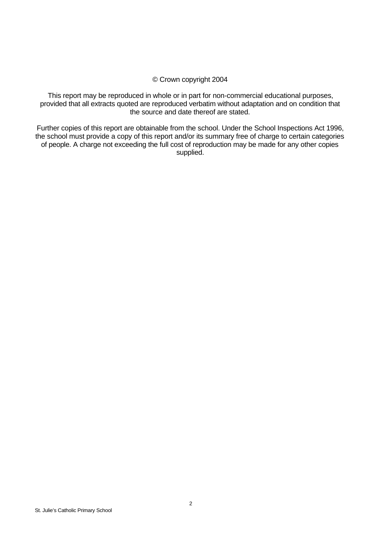## © Crown copyright 2004

This report may be reproduced in whole or in part for non-commercial educational purposes, provided that all extracts quoted are reproduced verbatim without adaptation and on condition that the source and date thereof are stated.

Further copies of this report are obtainable from the school. Under the School Inspections Act 1996, the school must provide a copy of this report and/or its summary free of charge to certain categories of people. A charge not exceeding the full cost of reproduction may be made for any other copies supplied.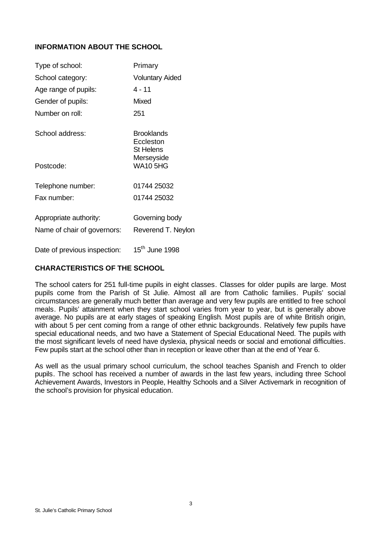# **INFORMATION ABOUT THE SCHOOL**

| Type of school:              | Primary                                            |
|------------------------------|----------------------------------------------------|
| School category:             | <b>Voluntary Aided</b>                             |
| Age range of pupils:         | 4 - 11                                             |
| Gender of pupils:            | Mixed                                              |
| Number on roll:              | 251                                                |
| School address:              | <b>Brooklands</b><br>Eccleston<br><b>St Helens</b> |
| Postcode:                    | Merseyside<br><b>WA10 5HG</b>                      |
| Telephone number:            | 01744 25032                                        |
| Fax number:                  | 01744 25032                                        |
| Appropriate authority:       | Governing body                                     |
| Name of chair of governors:  | Reverend T. Neylon                                 |
| Date of previous inspection: | 15 <sup>th</sup> June 1998                         |

# **CHARACTERISTICS OF THE SCHOOL**

The school caters for 251 full-time pupils in eight classes. Classes for older pupils are large. Most pupils come from the Parish of St Julie. Almost all are from Catholic families. Pupils' social circumstances are generally much better than average and very few pupils are entitled to free school meals. Pupils' attainment when they start school varies from year to year, but is generally above average. No pupils are at early stages of speaking English. Most pupils are of white British origin, with about 5 per cent coming from a range of other ethnic backgrounds. Relatively few pupils have special educational needs, and two have a Statement of Special Educational Need. The pupils with the most significant levels of need have dyslexia, physical needs or social and emotional difficulties. Few pupils start at the school other than in reception or leave other than at the end of Year 6.

As well as the usual primary school curriculum, the school teaches Spanish and French to older pupils. The school has received a number of awards in the last few years, including three School Achievement Awards, Investors in People, Healthy Schools and a Silver Activemark in recognition of the school's provision for physical education.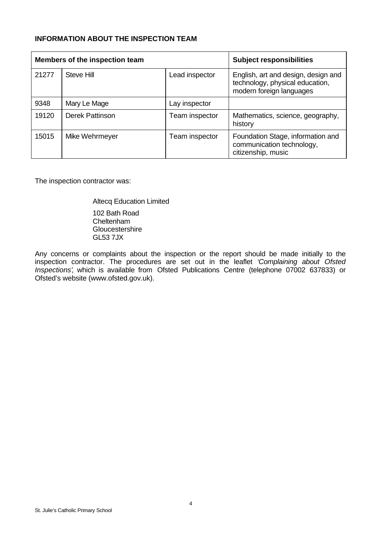# **INFORMATION ABOUT THE INSPECTION TEAM**

| Members of the inspection team |                        |                | <b>Subject responsibilities</b>                                                                    |
|--------------------------------|------------------------|----------------|----------------------------------------------------------------------------------------------------|
| 21277                          | Steve Hill             | Lead inspector | English, art and design, design and<br>technology, physical education,<br>modern foreign languages |
| 9348                           | Mary Le Mage           | Lay inspector  |                                                                                                    |
| 19120                          | <b>Derek Pattinson</b> | Team inspector | Mathematics, science, geography,<br>history                                                        |
| 15015                          | Mike Wehrmeyer         | Team inspector | Foundation Stage, information and<br>communication technology,<br>citizenship, music               |

The inspection contractor was:

Altecq Education Limited 102 Bath Road Cheltenham **Gloucestershire** GL53 7JX

Any concerns or complaints about the inspection or the report should be made initially to the inspection contractor. The procedures are set out in the leaflet *'Complaining about Ofsted Inspections'*, which is available from Ofsted Publications Centre (telephone 07002 637833) or Ofsted's website (www.ofsted.gov.uk).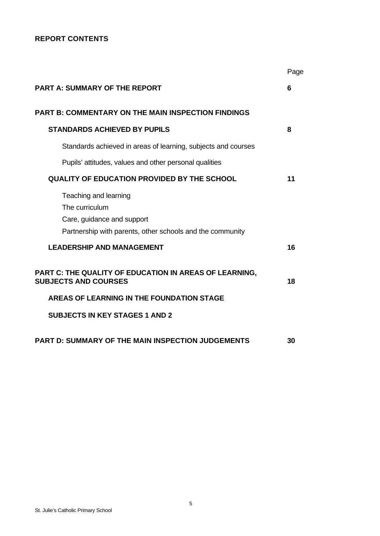# **REPORT CONTENTS**

|                                                                                                                                    | Page |
|------------------------------------------------------------------------------------------------------------------------------------|------|
| <b>PART A: SUMMARY OF THE REPORT</b>                                                                                               | 6    |
| <b>PART B: COMMENTARY ON THE MAIN INSPECTION FINDINGS</b>                                                                          |      |
| <b>STANDARDS ACHIEVED BY PUPILS</b>                                                                                                | 8    |
| Standards achieved in areas of learning, subjects and courses                                                                      |      |
| Pupils' attitudes, values and other personal qualities                                                                             |      |
| <b>QUALITY OF EDUCATION PROVIDED BY THE SCHOOL</b>                                                                                 | 11   |
| Teaching and learning<br>The curriculum<br>Care, guidance and support<br>Partnership with parents, other schools and the community |      |
| <b>LEADERSHIP AND MANAGEMENT</b>                                                                                                   | 16   |
| PART C: THE QUALITY OF EDUCATION IN AREAS OF LEARNING,<br><b>SUBJECTS AND COURSES</b>                                              | 18   |
| AREAS OF LEARNING IN THE FOUNDATION STAGE                                                                                          |      |
| <b>SUBJECTS IN KEY STAGES 1 AND 2</b>                                                                                              |      |
| <b>PART D: SUMMARY OF THE MAIN INSPECTION JUDGEMENTS</b>                                                                           | 30   |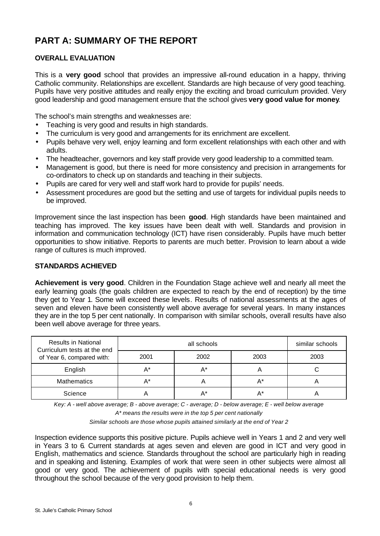# **PART A: SUMMARY OF THE REPORT**

# **OVERALL EVALUATION**

This is a **very good** school that provides an impressive all-round education in a happy, thriving Catholic community. Relationships are excellent. Standards are high because of very good teaching. Pupils have very positive attitudes and really enjoy the exciting and broad curriculum provided. Very good leadership and good management ensure that the school gives **very good value for money**.

The school's main strengths and weaknesses are:

- Teaching is very good and results in high standards.
- The curriculum is very good and arrangements for its enrichment are excellent.
- Pupils behave very well, enjoy learning and form excellent relationships with each other and with adults.
- The headteacher, governors and key staff provide very good leadership to a committed team.
- Management is good, but there is need for more consistency and precision in arrangements for co-ordinators to check up on standards and teaching in their subjects.
- Pupils are cared for very well and staff work hard to provide for pupils' needs.
- Assessment procedures are good but the setting and use of targets for individual pupils needs to be improved.

Improvement since the last inspection has been **good**. High standards have been maintained and teaching has improved. The key issues have been dealt with well. Standards and provision in information and communication technology (ICT) have risen considerably. Pupils have much better opportunities to show initiative. Reports to parents are much better. Provision to learn about a wide range of cultures is much improved.

## **STANDARDS ACHIEVED**

**Achievement is very good**. Children in the Foundation Stage achieve well and nearly all meet the early learning goals (the goals children are expected to reach by the end of reception) by the time they get to Year 1. Some will exceed these levels. Results of national assessments at the ages of seven and eleven have been consistently well above average for several years. In many instances they are in the top 5 per cent nationally. In comparison with similar schools, overall results have also been well above average for three years.

| <b>Results in National</b><br>Curriculum tests at the end |      | similar schools |      |      |
|-----------------------------------------------------------|------|-----------------|------|------|
| of Year 6, compared with:                                 | 2001 | 2002            | 2003 | 2003 |
| English                                                   | A*   |                 | A    |      |
| <b>Mathematics</b>                                        | A*   |                 | A*   |      |
| Science                                                   |      |                 | A*   |      |

*Key: A - well above average; B - above average; C - average; D - below average; E - well below average A\* means the results were in the top 5 per cent nationally*

*Similar schools are those whose pupils attained similarly at the end of Year 2*

Inspection evidence supports this positive picture. Pupils achieve well in Years 1 and 2 and very well in Years 3 to 6. Current standards at ages seven and eleven are good in ICT and very good in English, mathematics and science. Standards throughout the school are particularly high in reading and in speaking and listening. Examples of work that were seen in other subjects were almost all good or very good. The achievement of pupils with special educational needs is very good throughout the school because of the very good provision to help them.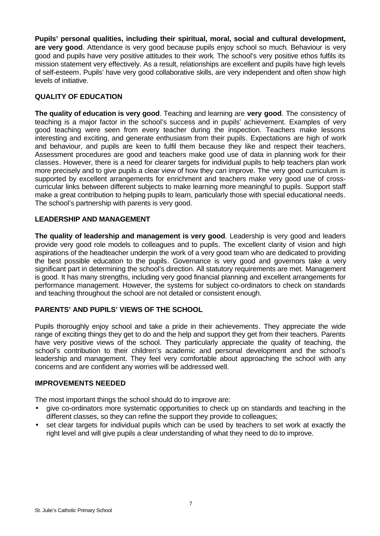**Pupils' personal qualities, including their spiritual, moral, social and cultural development, are very good**. Attendance is very good because pupils enjoy school so much. Behaviour is very good and pupils have very positive attitudes to their work. The school's very positive ethos fulfils its mission statement very effectively. As a result, relationships are excellent and pupils have high levels of self-esteem. Pupils' have very good collaborative skills, are very independent and often show high levels of initiative.

# **QUALITY OF EDUCATION**

**The quality of education is very good**. Teaching and learning are **very good**. The consistency of teaching is a major factor in the school's success and in pupils' achievement. Examples of very good teaching were seen from every teacher during the inspection. Teachers make lessons interesting and exciting, and generate enthusiasm from their pupils. Expectations are high of work and behaviour, and pupils are keen to fulfil them because they like and respect their teachers. Assessment procedures are good and teachers make good use of data in planning work for their classes. However, there is a need for clearer targets for individual pupils to help teachers plan work more precisely and to give pupils a clear view of how they can improve. The very good curriculum is supported by excellent arrangements for enrichment and teachers make very good use of crosscurricular links between different subjects to make learning more meaningful to pupils. Support staff make a great contribution to helping pupils to learn, particularly those with special educational needs. The school's partnership with parents is very good.

## **LEADERSHIP AND MANAGEMENT**

**The quality of leadership and management is very good**. Leadership is very good and leaders provide very good role models to colleagues and to pupils. The excellent clarity of vision and high aspirations of the headteacher underpin the work of a very good team who are dedicated to providing the best possible education to the pupils. Governance is very good and governors take a very significant part in determining the school's direction. All statutory requirements are met. Management is good. It has many strengths, including very good financial planning and excellent arrangements for performance management. However, the systems for subject co-ordinators to check on standards and teaching throughout the school are not detailed or consistent enough.

## **PARENTS' AND PUPILS' VIEWS OF THE SCHOOL**

Pupils thoroughly enjoy school and take a pride in their achievements. They appreciate the wide range of exciting things they get to do and the help and support they get from their teachers. Parents have very positive views of the school. They particularly appreciate the quality of teaching, the school's contribution to their children's academic and personal development and the school's leadership and management. They feel very comfortable about approaching the school with any concerns and are confident any worries will be addressed well.

## **IMPROVEMENTS NEEDED**

The most important things the school should do to improve are:

- give co-ordinators more systematic opportunities to check up on standards and teaching in the different classes, so they can refine the support they provide to colleagues;
- set clear targets for individual pupils which can be used by teachers to set work at exactly the right level and will give pupils a clear understanding of what they need to do to improve.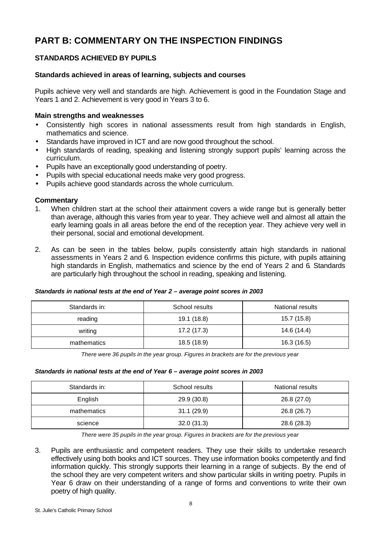# **PART B: COMMENTARY ON THE INSPECTION FINDINGS**

# **STANDARDS ACHIEVED BY PUPILS**

## **Standards achieved in areas of learning, subjects and courses**

Pupils achieve very well and standards are high. Achievement is good in the Foundation Stage and Years 1 and 2. Achievement is very good in Years 3 to 6.

## **Main strengths and weaknesses**

- Consistently high scores in national assessments result from high standards in English, mathematics and science.
- Standards have improved in ICT and are now good throughout the school.
- High standards of reading, speaking and listening strongly support pupils' learning across the curriculum.
- Pupils have an exceptionally good understanding of poetry.
- Pupils with special educational needs make very good progress.
- Pupils achieve good standards across the whole curriculum.

## **Commentary**

- 1. When children start at the school their attainment covers a wide range but is generally better than average, although this varies from year to year. They achieve well and almost all attain the early learning goals in all areas before the end of the reception year. They achieve very well in their personal, social and emotional development.
- 2. As can be seen in the tables below, pupils consistently attain high standards in national assessments in Years 2 and 6. Inspection evidence confirms this picture, with pupils attaining high standards in English, mathematics and science by the end of Years 2 and 6. Standards are particularly high throughout the school in reading, speaking and listening.

| Standards in: | School results | National results |
|---------------|----------------|------------------|
| reading       | 19.1 (18.8)    | 15.7 (15.8)      |
| writing       | 17.2 (17.3)    | 14.6 (14.4)      |
| mathematics   | 18.5 (18.9)    | 16.3 (16.5)      |

#### *Standards in national tests at the end of Year 2 – average point scores in 2003*

*There were 36 pupils in the year group. Figures in brackets are for the previous year*

#### *Standards in national tests at the end of Year 6 – average point scores in 2003*

| Standards in: | School results | National results |
|---------------|----------------|------------------|
| English       | 29.9 (30.8)    | 26.8 (27.0)      |
| mathematics   | 31.1(29.9)     | 26.8 (26.7)      |
| science       | 32.0(31.3)     | 28.6 (28.3)      |

*There were 35 pupils in the year group. Figures in brackets are for the previous year*

3. Pupils are enthusiastic and competent readers. They use their skills to undertake research effectively using both books and ICT sources. They use information books competently and find information quickly. This strongly supports their learning in a range of subjects. By the end of the school they are very competent writers and show particular skills in writing poetry. Pupils in Year 6 draw on their understanding of a range of forms and conventions to write their own poetry of high quality.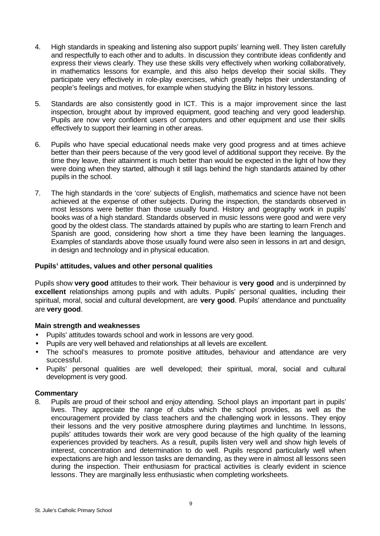- 4. High standards in speaking and listening also support pupils' learning well. They listen carefully and respectfully to each other and to adults. In discussion they contribute ideas confidently and express their views clearly. They use these skills very effectively when working collaboratively, in mathematics lessons for example, and this also helps develop their social skills. They participate very effectively in role-play exercises, which greatly helps their understanding of people's feelings and motives, for example when studying the Blitz in history lessons.
- 5. Standards are also consistently good in ICT. This is a major improvement since the last inspection, brought about by improved equipment, good teaching and very good leadership. Pupils are now very confident users of computers and other equipment and use their skills effectively to support their learning in other areas.
- 6. Pupils who have special educational needs make very good progress and at times achieve better than their peers because of the very good level of additional support they receive. By the time they leave, their attainment is much better than would be expected in the light of how they were doing when they started, although it still lags behind the high standards attained by other pupils in the school.
- 7. The high standards in the 'core' subjects of English, mathematics and science have not been achieved at the expense of other subjects. During the inspection, the standards observed in most lessons were better than those usually found. History and geography work in pupils' books was of a high standard. Standards observed in music lessons were good and were very good by the oldest class. The standards attained by pupils who are starting to learn French and Spanish are good, considering how short a time they have been learning the languages. Examples of standards above those usually found were also seen in lessons in art and design, in design and technology and in physical education.

## **Pupils' attitudes, values and other personal qualities**

Pupils show **very good** attitudes to their work. Their behaviour is **very good** and is underpinned by **excellent** relationships among pupils and with adults. Pupils' personal qualities, including their spiritual, moral, social and cultural development, are **very good**. Pupils' attendance and punctuality are **very good**.

#### **Main strength and weaknesses**

- Pupils' attitudes towards school and work in lessons are very good.
- Pupils are very well behaved and relationships at all levels are excellent.
- The school's measures to promote positive attitudes, behaviour and attendance are very successful.
- Pupils' personal qualities are well developed; their spiritual, moral, social and cultural development is very good.

#### **Commentary**

8. Pupils are proud of their school and enjoy attending. School plays an important part in pupils' lives. They appreciate the range of clubs which the school provides, as well as the encouragement provided by class teachers and the challenging work in lessons. They enjoy their lessons and the very positive atmosphere during playtimes and lunchtime. In lessons, pupils' attitudes towards their work are very good because of the high quality of the learning experiences provided by teachers. As a result, pupils listen very well and show high levels of interest, concentration and determination to do well. Pupils respond particularly well when expectations are high and lesson tasks are demanding, as they were in almost all lessons seen during the inspection. Their enthusiasm for practical activities is clearly evident in science lessons. They are marginally less enthusiastic when completing worksheets.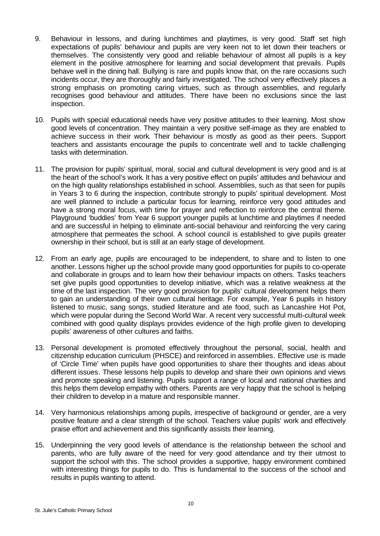- 9. Behaviour in lessons, and during lunchtimes and playtimes, is very good. Staff set high expectations of pupils' behaviour and pupils are very keen not to let down their teachers or themselves. The consistently very good and reliable behaviour of almost all pupils is a key element in the positive atmosphere for learning and social development that prevails. Pupils behave well in the dining hall. Bullying is rare and pupils know that, on the rare occasions such incidents occur, they are thoroughly and fairly investigated. The school very effectively places a strong emphasis on promoting caring virtues, such as through assemblies, and regularly recognises good behaviour and attitudes. There have been no exclusions since the last inspection.
- 10. Pupils with special educational needs have very positive attitudes to their learning. Most show good levels of concentration. They maintain a very positive self-image as they are enabled to achieve success in their work. Their behaviour is mostly as good as their peers. Support teachers and assistants encourage the pupils to concentrate well and to tackle challenging tasks with determination.
- 11. The provision for pupils' spiritual, moral, social and cultural development is very good and is at the heart of the school's work. It has a very positive effect on pupils' attitudes and behaviour and on the high quality relationships established in school. Assemblies, such as that seen for pupils in Years 3 to 6 during the inspection, contribute strongly to pupils' spiritual development. Most are well planned to include a particular focus for learning, reinforce very good attitudes and have a strong moral focus, with time for prayer and reflection to reinforce the central theme. Playground 'buddies' from Year 6 support younger pupils at lunchtime and playtimes if needed and are successful in helping to eliminate anti-social behaviour and reinforcing the very caring atmosphere that permeates the school. A school council is established to give pupils greater ownership in their school, but is still at an early stage of development.
- 12. From an early age, pupils are encouraged to be independent, to share and to listen to one another. Lessons higher up the school provide many good opportunities for pupils to co-operate and collaborate in groups and to learn how their behaviour impacts on others. Tasks teachers set give pupils good opportunities to develop initiative, which was a relative weakness at the time of the last inspection. The very good provision for pupils' cultural development helps them to gain an understanding of their own cultural heritage. For example, Year 6 pupils in history listened to music, sang songs, studied literature and ate food, such as Lancashire Hot Pot, which were popular during the Second World War. A recent very successful multi-cultural week combined with good quality displays provides evidence of the high profile given to developing pupils' awareness of other cultures and faiths.
- 13. Personal development is promoted effectively throughout the personal, social, health and citizenship education curriculum (PHSCE) and reinforced in assemblies. Effective use is made of 'Circle Time' when pupils have good opportunities to share their thoughts and ideas about different issues. These lessons help pupils to develop and share their own opinions and views and promote speaking and listening. Pupils support a range of local and national charities and this helps them develop empathy with others. Parents are very happy that the school is helping their children to develop in a mature and responsible manner.
- 14. Very harmonious relationships among pupils, irrespective of background or gender, are a very positive feature and a clear strength of the school. Teachers value pupils' work and effectively praise effort and achievement and this significantly assists their learning.
- 15. Underpinning the very good levels of attendance is the relationship between the school and parents, who are fully aware of the need for very good attendance and try their utmost to support the school with this. The school provides a supportive, happy environment combined with interesting things for pupils to do. This is fundamental to the success of the school and results in pupils wanting to attend.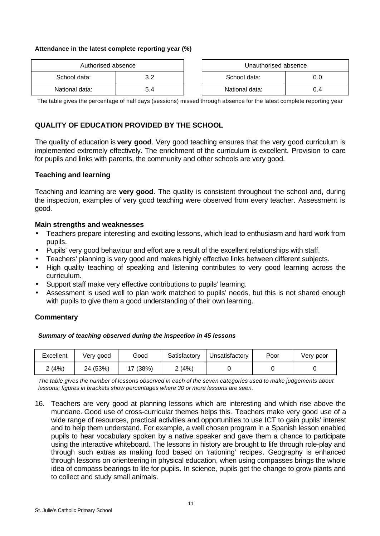#### **Attendance in the latest complete reporting year (%)**

| Authorised absence  |     |  | Unauthorised absence |     |
|---------------------|-----|--|----------------------|-----|
| School data:<br>? ລ |     |  | School data:         |     |
| National data:      | 5.4 |  | National data:       | 0.4 |

| Unauthorised absence |     |  |  |
|----------------------|-----|--|--|
| School data:<br>ი ი  |     |  |  |
| National data:       | በ 4 |  |  |

The table gives the percentage of half days (sessions) missed through absence for the latest complete reporting year

## **QUALITY OF EDUCATION PROVIDED BY THE SCHOOL**

The quality of education is **very good**. Very good teaching ensures that the very good curriculum is implemented extremely effectively. The enrichment of the curriculum is excellent. Provision to care for pupils and links with parents, the community and other schools are very good.

#### **Teaching and learning**

Teaching and learning are **very good**. The quality is consistent throughout the school and, during the inspection, examples of very good teaching were observed from every teacher. Assessment is good.

#### **Main strengths and weaknesses**

- Teachers prepare interesting and exciting lessons, which lead to enthusiasm and hard work from pupils.
- Pupils' very good behaviour and effort are a result of the excellent relationships with staff.
- Teachers' planning is very good and makes highly effective links between different subjects.
- High quality teaching of speaking and listening contributes to very good learning across the curriculum.
- Support staff make very effective contributions to pupils' learning.
- Assessment is used well to plan work matched to pupils' needs, but this is not shared enough with pupils to give them a good understanding of their own learning.

## **Commentary**

#### *Summary of teaching observed during the inspection in 45 lessons*

| Excellent | Verv good | Good     | Satisfactory | Unsatisfactory | Poor | Very poor |
|-----------|-----------|----------|--------------|----------------|------|-----------|
| 2 (4%)    | 24 (53%)  | 17 (38%) | 2(4%)        |                |      |           |

*The table gives the number of lessons observed in each of the seven categories used to make judgements about lessons; figures in brackets show percentages where 30 or more lessons are seen.*

16. Teachers are very good at planning lessons which are interesting and which rise above the mundane. Good use of cross-curricular themes helps this. Teachers make very good use of a wide range of resources, practical activities and opportunities to use ICT to gain pupils' interest and to help them understand. For example, a well chosen program in a Spanish lesson enabled pupils to hear vocabulary spoken by a native speaker and gave them a chance to participate using the interactive whiteboard. The lessons in history are brought to life through role-play and through such extras as making food based on 'rationing' recipes. Geography is enhanced through lessons on orienteering in physical education, when using compasses brings the whole idea of compass bearings to life for pupils. In science, pupils get the change to grow plants and to collect and study small animals.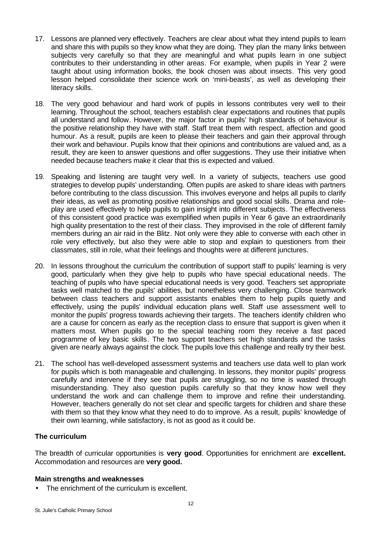- 17. Lessons are planned very effectively. Teachers are clear about what they intend pupils to learn and share this with pupils so they know what they are doing. They plan the many links between subjects very carefully so that they are meaningful and what pupils learn in one subject contributes to their understanding in other areas. For example, when pupils in Year 2 were taught about using information books, the book chosen was about insects. This very good lesson helped consolidate their science work on 'mini-beasts', as well as developing their literacy skills.
- 18. The very good behaviour and hard work of pupils in lessons contributes very well to their learning. Throughout the school, teachers establish clear expectations and routines that pupils all understand and follow. However, the major factor in pupils' high standards of behaviour is the positive relationship they have with staff. Staff treat them with respect, affection and good humour. As a result, pupils are keen to please their teachers and gain their approval through their work and behaviour. Pupils know that their opinions and contributions are valued and, as a result, they are keen to answer questions and offer suggestions. They use their initiative when needed because teachers make it clear that this is expected and valued.
- 19. Speaking and listening are taught very well. In a variety of subjects, teachers use good strategies to develop pupils' understanding. Often pupils are asked to share ideas with partners before contributing to the class discussion. This involves everyone and helps all pupils to clarify their ideas, as well as promoting positive relationships and good social skills. Drama and roleplay are used effectively to help pupils to gain insight into different subjects. The effectiveness of this consistent good practice was exemplified when pupils in Year 6 gave an extraordinarily high quality presentation to the rest of their class. They improvised in the role of different family members during an air raid in the Blitz. Not only were they able to converse with each other in role very effectively, but also they were able to stop and explain to questioners from their classmates, still in role, what their feelings and thoughts were at different junctures.
- 20. In lessons throughout the curriculum the contribution of support staff to pupils' learning is very good, particularly when they give help to pupils who have special educational needs. The teaching of pupils who have special educational needs is very good. Teachers set appropriate tasks well matched to the pupils' abilities, but nonetheless very challenging. Close teamwork between class teachers and support assistants enables them to help pupils quietly and effectively, using the pupils' individual education plans well. Staff use assessment well to monitor the pupils' progress towards achieving their targets. The teachers identify children who are a cause for concern as early as the reception class to ensure that support is given when it matters most. When pupils go to the special teaching room they receive a fast paced programme of key basic skills. The two support teachers set high standards and the tasks given are nearly always against the clock. The pupils love this challenge and really try their best.
- 21. The school has well-developed assessment systems and teachers use data well to plan work for pupils which is both manageable and challenging. In lessons, they monitor pupils' progress carefully and intervene if they see that pupils are struggling, so no time is wasted through misunderstanding. They also question pupils carefully so that they know how well they understand the work and can challenge them to improve and refine their understanding. However, teachers generally do not set clear and specific targets for children and share these with them so that they know what they need to do to improve. As a result, pupils' knowledge of their own learning, while satisfactory, is not as good as it could be.

## **The curriculum**

The breadth of curricular opportunities is **very good**. Opportunities for enrichment are **excellent.** Accommodation and resources are **very good.**

## **Main strengths and weaknesses**

The enrichment of the curriculum is excellent.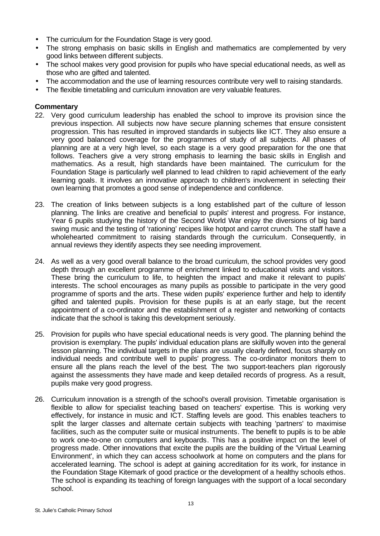- The curriculum for the Foundation Stage is very good.
- The strong emphasis on basic skills in English and mathematics are complemented by very good links between different subjects.
- The school makes very good provision for pupils who have special educational needs, as well as those who are gifted and talented.
- The accommodation and the use of learning resources contribute very well to raising standards.
- The flexible timetabling and curriculum innovation are very valuable features.

- 22. Very good curriculum leadership has enabled the school to improve its provision since the previous inspection. All subjects now have secure planning schemes that ensure consistent progression. This has resulted in improved standards in subjects like ICT. They also ensure a very good balanced coverage for the programmes of study of all subjects. All phases of planning are at a very high level, so each stage is a very good preparation for the one that follows. Teachers give a very strong emphasis to learning the basic skills in English and mathematics. As a result, high standards have been maintained. The curriculum for the Foundation Stage is particularly well planned to lead children to rapid achievement of the early learning goals. It involves an innovative approach to children's involvement in selecting their own learning that promotes a good sense of independence and confidence.
- 23. The creation of links between subjects is a long established part of the culture of lesson planning. The links are creative and beneficial to pupils' interest and progress. For instance, Year 6 pupils studying the history of the Second World War enjoy the diversions of big band swing music and the testing of 'rationing' recipes like hotpot and carrot crunch. The staff have a wholehearted commitment to raising standards through the curriculum. Consequently, in annual reviews they identify aspects they see needing improvement.
- 24. As well as a very good overall balance to the broad curriculum, the school provides very good depth through an excellent programme of enrichment linked to educational visits and visitors. These bring the curriculum to life, to heighten the impact and make it relevant to pupils' interests. The school encourages as many pupils as possible to participate in the very good programme of sports and the arts. These widen pupils' experience further and help to identify gifted and talented pupils. Provision for these pupils is at an early stage, but the recent appointment of a co-ordinator and the establishment of a register and networking of contacts indicate that the school is taking this development seriously.
- 25. Provision for pupils who have special educational needs is very good. The planning behind the provision is exemplary. The pupils' individual education plans are skilfully woven into the general lesson planning. The individual targets in the plans are usually clearly defined, focus sharply on individual needs and contribute well to pupils' progress. The co-ordinator monitors them to ensure all the plans reach the level of the best. The two support-teachers plan rigorously against the assessments they have made and keep detailed records of progress. As a result, pupils make very good progress.
- 26. Curriculum innovation is a strength of the school's overall provision. Timetable organisation is flexible to allow for specialist teaching based on teachers' expertise. This is working very effectively, for instance in music and ICT. Staffing levels are good. This enables teachers to split the larger classes and alternate certain subjects with teaching 'partners' to maximise facilities, such as the computer suite or musical instruments. The benefit to pupils is to be able to work one-to-one on computers and keyboards. This has a positive impact on the level of progress made. Other innovations that excite the pupils are the building of the 'Virtual Learning Environment', in which they can access schoolwork at home on computers and the plans for accelerated learning. The school is adept at gaining accreditation for its work, for instance in the Foundation Stage Kitemark of good practice or the development of a healthy schools ethos. The school is expanding its teaching of foreign languages with the support of a local secondary school.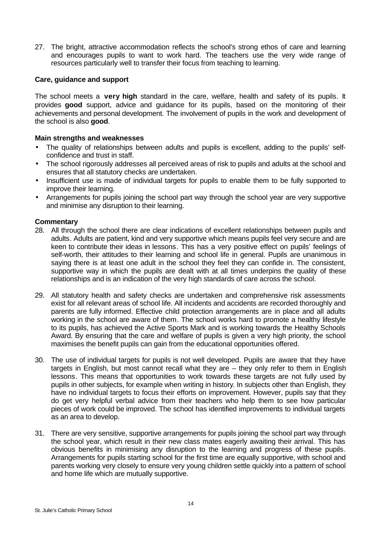27. The bright, attractive accommodation reflects the school's strong ethos of care and learning and encourages pupils to want to work hard. The teachers use the very wide range of resources particularly well to transfer their focus from teaching to learning.

## **Care, guidance and support**

The school meets a **very high** standard in the care, welfare, health and safety of its pupils. It provides **good** support, advice and guidance for its pupils, based on the monitoring of their achievements and personal development. The involvement of pupils in the work and development of the school is also **good**.

## **Main strengths and weaknesses**

- The quality of relationships between adults and pupils is excellent, adding to the pupils' selfconfidence and trust in staff.
- The school rigorously addresses all perceived areas of risk to pupils and adults at the school and ensures that all statutory checks are undertaken.
- Insufficient use is made of individual targets for pupils to enable them to be fully supported to improve their learning.
- Arrangements for pupils joining the school part way through the school year are very supportive and minimise any disruption to their learning.

- 28. All through the school there are clear indications of excellent relationships between pupils and adults. Adults are patient, kind and very supportive which means pupils feel very secure and are keen to contribute their ideas in lessons. This has a very positive effect on pupils' feelings of self-worth, their attitudes to their learning and school life in general. Pupils are unanimous in saying there is at least one adult in the school they feel they can confide in. The consistent, supportive way in which the pupils are dealt with at all times underpins the quality of these relationships and is an indication of the very high standards of care across the school.
- 29. All statutory health and safety checks are undertaken and comprehensive risk assessments exist for all relevant areas of school life. All incidents and accidents are recorded thoroughly and parents are fully informed. Effective child protection arrangements are in place and all adults working in the school are aware of them. The school works hard to promote a healthy lifestyle to its pupils, has achieved the Active Sports Mark and is working towards the Healthy Schools Award. By ensuring that the care and welfare of pupils is given a very high priority, the school maximises the benefit pupils can gain from the educational opportunities offered.
- 30. The use of individual targets for pupils is not well developed. Pupils are aware that they have targets in English, but most cannot recall what they are – they only refer to them in English lessons. This means that opportunities to work towards these targets are not fully used by pupils in other subjects, for example when writing in history. In subjects other than English, they have no individual targets to focus their efforts on improvement. However, pupils say that they do get very helpful verbal advice from their teachers who help them to see how particular pieces of work could be improved. The school has identified improvements to individual targets as an area to develop.
- 31. There are very sensitive, supportive arrangements for pupils joining the school part way through the school year, which result in their new class mates eagerly awaiting their arrival. This has obvious benefits in minimising any disruption to the learning and progress of these pupils. Arrangements for pupils starting school for the first time are equally supportive, with school and parents working very closely to ensure very young children settle quickly into a pattern of school and home life which are mutually supportive.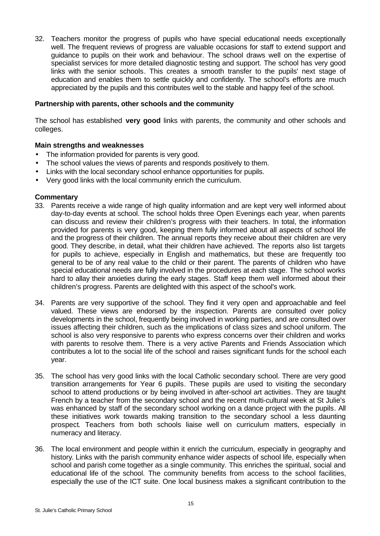32. Teachers monitor the progress of pupils who have special educational needs exceptionally well. The frequent reviews of progress are valuable occasions for staff to extend support and guidance to pupils on their work and behaviour. The school draws well on the expertise of specialist services for more detailed diagnostic testing and support. The school has very good links with the senior schools. This creates a smooth transfer to the pupils' next stage of education and enables them to settle quickly and confidently. The school's efforts are much appreciated by the pupils and this contributes well to the stable and happy feel of the school.

#### **Partnership with parents, other schools and the community**

The school has established **very good** links with parents, the community and other schools and colleges.

## **Main strengths and weaknesses**

- The information provided for parents is very good.
- The school values the views of parents and responds positively to them.
- Links with the local secondary school enhance opportunities for pupils.
- Very good links with the local community enrich the curriculum.

- 33. Parents receive a wide range of high quality information and are kept very well informed about day-to-day events at school. The school holds three Open Evenings each year, when parents can discuss and review their children's progress with their teachers. In total, the information provided for parents is very good, keeping them fully informed about all aspects of school life and the progress of their children. The annual reports they receive about their children are very good. They describe, in detail, what their children have achieved. The reports also list targets for pupils to achieve, especially in English and mathematics, but these are frequently too general to be of any real value to the child or their parent. The parents of children who have special educational needs are fully involved in the procedures at each stage. The school works hard to allay their anxieties during the early stages. Staff keep them well informed about their children's progress. Parents are delighted with this aspect of the school's work.
- 34. Parents are very supportive of the school. They find it very open and approachable and feel valued. These views are endorsed by the inspection. Parents are consulted over policy developments in the school, frequently being involved in working parties, and are consulted over issues affecting their children, such as the implications of class sizes and school uniform. The school is also very responsive to parents who express concerns over their children and works with parents to resolve them. There is a very active Parents and Friends Association which contributes a lot to the social life of the school and raises significant funds for the school each year.
- 35. The school has very good links with the local Catholic secondary school. There are very good transition arrangements for Year 6 pupils. These pupils are used to visiting the secondary school to attend productions or by being involved in after-school art activities. They are taught French by a teacher from the secondary school and the recent multi-cultural week at St Julie's was enhanced by staff of the secondary school working on a dance project with the pupils. All these initiatives work towards making transition to the secondary school a less daunting prospect. Teachers from both schools liaise well on curriculum matters, especially in numeracy and literacy.
- 36. The local environment and people within it enrich the curriculum, especially in geography and history. Links with the parish community enhance wider aspects of school life, especially when school and parish come together as a single community. This enriches the spiritual, social and educational life of the school. The community benefits from access to the school facilities, especially the use of the ICT suite. One local business makes a significant contribution to the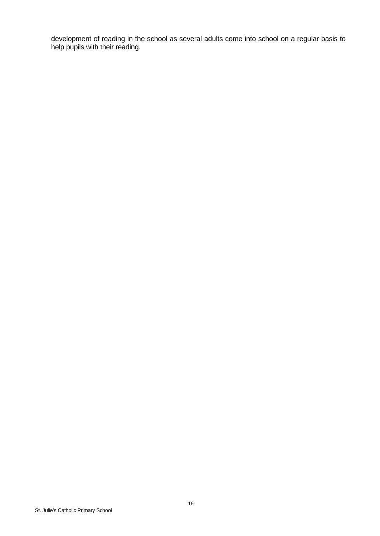development of reading in the school as several adults come into school on a regular basis to help pupils with their reading.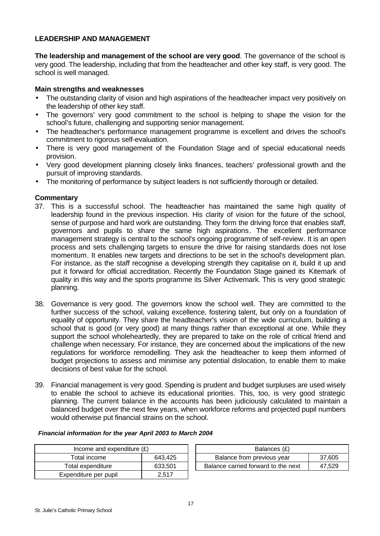## **LEADERSHIP AND MANAGEMENT**

**The leadership and management of the school are very good**. The governance of the school is very good. The leadership, including that from the headteacher and other key staff, is very good. The school is well managed.

## **Main strengths and weaknesses**

- The outstanding clarity of vision and high aspirations of the headteacher impact very positively on the leadership of other key staff.
- The governors' very good commitment to the school is helping to shape the vision for the school's future, challenging and supporting senior management.
- The headteacher's performance management programme is excellent and drives the school's commitment to rigorous self-evaluation.
- There is very good management of the Foundation Stage and of special educational needs provision.
- Very good development planning closely links finances, teachers' professional growth and the pursuit of improving standards.
- The monitoring of performance by subject leaders is not sufficiently thorough or detailed.

## **Commentary**

- 37. This is a successful school. The headteacher has maintained the same high quality of leadership found in the previous inspection. His clarity of vision for the future of the school, sense of purpose and hard work are outstanding. They form the driving force that enables staff, governors and pupils to share the same high aspirations. The excellent performance management strategy is central to the school's ongoing programme of self-review. It is an open process and sets challenging targets to ensure the drive for raising standards does not lose momentum. It enables new targets and directions to be set in the school's development plan. For instance, as the staff recognise a developing strength they capitalise on it, build it up and put it forward for official accreditation. Recently the Foundation Stage gained its Kitemark of quality in this way and the sports programme its Silver Activemark. This is very good strategic planning.
- 38. Governance is very good. The governors know the school well. They are committed to the further success of the school, valuing excellence, fostering talent, but only on a foundation of equality of opportunity. They share the headteacher's vision of the wide curriculum, building a school that is good (or very good) at many things rather than exceptional at one. While they support the school wholeheartedly, they are prepared to take on the role of critical friend and challenge when necessary. For instance, they are concerned about the implications of the new regulations for workforce remodelling. They ask the headteacher to keep them informed of budget projections to assess and minimise any potential dislocation, to enable them to make decisions of best value for the school.
- 39. Financial management is very good. Spending is prudent and budget surpluses are used wisely to enable the school to achieve its educational priorities. This, too, is very good strategic planning. The current balance in the accounts has been judiciously calculated to maintain a balanced budget over the next few years, when workforce reforms and projected pupil numbers would otherwise put financial strains on the school.

| Income and expenditure $(E)$ |         |  | Balances (£)                     |
|------------------------------|---------|--|----------------------------------|
| Total income                 | 643.425 |  | Balance from previous year       |
| Total expenditure            | 633.501 |  | Balance carried forward to the i |
| Expenditure per pupil        | 2.517   |  |                                  |

*Financial information for the year April 2003 to March 2004*

| Income and expenditure $(E)$ |         | Balances (£)                        |        |
|------------------------------|---------|-------------------------------------|--------|
| Total income                 | 643.425 | Balance from previous year          | 37.605 |
| Total expenditure            | 633.501 | Balance carried forward to the next | 47.529 |

#### St. Julie's Catholic Primary School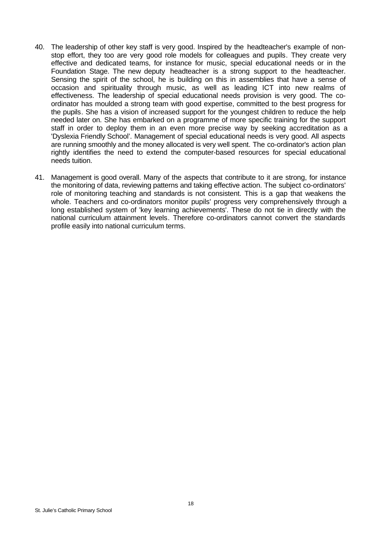- 40. The leadership of other key staff is very good. Inspired by the headteacher's example of nonstop effort, they too are very good role models for colleagues and pupils. They create very effective and dedicated teams, for instance for music, special educational needs or in the Foundation Stage. The new deputy headteacher is a strong support to the headteacher. Sensing the spirit of the school, he is building on this in assemblies that have a sense of occasion and spirituality through music, as well as leading ICT into new realms of effectiveness. The leadership of special educational needs provision is very good. The coordinator has moulded a strong team with good expertise, committed to the best progress for the pupils. She has a vision of increased support for the youngest children to reduce the help needed later on. She has embarked on a programme of more specific training for the support staff in order to deploy them in an even more precise way by seeking accreditation as a 'Dyslexia Friendly School'. Management of special educational needs is very good. All aspects are running smoothly and the money allocated is very well spent. The co-ordinator's action plan rightly identifies the need to extend the computer-based resources for special educational needs tuition.
- 41. Management is good overall. Many of the aspects that contribute to it are strong, for instance the monitoring of data, reviewing patterns and taking effective action. The subject co-ordinators' role of monitoring teaching and standards is not consistent. This is a gap that weakens the whole. Teachers and co-ordinators monitor pupils' progress very comprehensively through a long established system of 'key learning achievements'. These do not tie in directly with the national curriculum attainment levels. Therefore co-ordinators cannot convert the standards profile easily into national curriculum terms.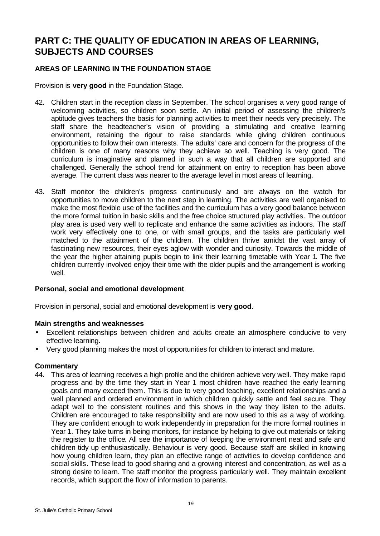# **PART C: THE QUALITY OF EDUCATION IN AREAS OF LEARNING, SUBJECTS AND COURSES**

# **AREAS OF LEARNING IN THE FOUNDATION STAGE**

Provision is **very good** in the Foundation Stage.

- 42. Children start in the reception class in September. The school organises a very good range of welcoming activities, so children soon settle. An initial period of assessing the children's aptitude gives teachers the basis for planning activities to meet their needs very precisely. The staff share the headteacher's vision of providing a stimulating and creative learning environment, retaining the rigour to raise standards while giving children continuous opportunities to follow their own interests. The adults' care and concern for the progress of the children is one of many reasons why they achieve so well. Teaching is very good. The curriculum is imaginative and planned in such a way that all children are supported and challenged. Generally the school trend for attainment on entry to reception has been above average. The current class was nearer to the average level in most areas of learning.
- 43. Staff monitor the children's progress continuously and are always on the watch for opportunities to move children to the next step in learning. The activities are well organised to make the most flexible use of the facilities and the curriculum has a very good balance between the more formal tuition in basic skills and the free choice structured play activities. The outdoor play area is used very well to replicate and enhance the same activities as indoors. The staff work very effectively one to one, or with small groups, and the tasks are particularly well matched to the attainment of the children. The children thrive amidst the vast array of fascinating new resources, their eyes aglow with wonder and curiosity. Towards the middle of the year the higher attaining pupils begin to link their learning timetable with Year 1. The five children currently involved enjoy their time with the older pupils and the arrangement is working well.

## **Personal, social and emotional development**

Provision in personal, social and emotional development is **very good**.

## **Main strengths and weaknesses**

- Excellent relationships between children and adults create an atmosphere conducive to very effective learning.
- Very good planning makes the most of opportunities for children to interact and mature.

## **Commentary**

44. This area of learning receives a high profile and the children achieve very well. They make rapid progress and by the time they start in Year 1 most children have reached the early learning goals and many exceed them. This is due to very good teaching, excellent relationships and a well planned and ordered environment in which children quickly settle and feel secure. They adapt well to the consistent routines and this shows in the way they listen to the adults. Children are encouraged to take responsibility and are now used to this as a way of working. They are confident enough to work independently in preparation for the more formal routines in Year 1. They take turns in being monitors, for instance by helping to give out materials or taking the register to the office. All see the importance of keeping the environment neat and safe and children tidy up enthusiastically. Behaviour is very good. Because staff are skilled in knowing how young children learn, they plan an effective range of activities to develop confidence and social skills. These lead to good sharing and a growing interest and concentration, as well as a strong desire to learn. The staff monitor the progress particularly well. They maintain excellent records, which support the flow of information to parents.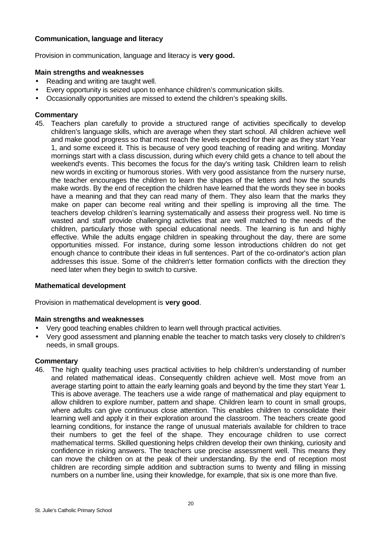## **Communication, language and literacy**

Provision in communication, language and literacy is **very good.**

#### **Main strengths and weaknesses**

- Reading and writing are taught well.
- Every opportunity is seized upon to enhance children's communication skills.
- Occasionally opportunities are missed to extend the children's speaking skills.

#### **Commentary**

45. Teachers plan carefully to provide a structured range of activities specifically to develop children's language skills, which are average when they start school. All children achieve well and make good progress so that most reach the levels expected for their age as they start Year 1, and some exceed it. This is because of very good teaching of reading and writing. Monday mornings start with a class discussion, during which every child gets a chance to tell about the weekend's events. This becomes the focus for the day's writing task. Children learn to relish new words in exciting or humorous stories. With very good assistance from the nursery nurse, the teacher encourages the children to learn the shapes of the letters and how the sounds make words. By the end of reception the children have learned that the words they see in books have a meaning and that they can read many of them. They also learn that the marks they make on paper can become real writing and their spelling is improving all the time. The teachers develop children's learning systematically and assess their progress well. No time is wasted and staff provide challenging activities that are well matched to the needs of the children, particularly those with special educational needs. The learning is fun and highly effective. While the adults engage children in speaking throughout the day, there are some opportunities missed. For instance, during some lesson introductions children do not get enough chance to contribute their ideas in full sentences. Part of the co-ordinator's action plan addresses this issue. Some of the children's letter formation conflicts with the direction they need later when they begin to switch to cursive.

#### **Mathematical development**

Provision in mathematical development is **very good**.

#### **Main strengths and weaknesses**

- Very good teaching enables children to learn well through practical activities.
- Very good assessment and planning enable the teacher to match tasks very closely to children's needs, in small groups.

## **Commentary**

46. The high quality teaching uses practical activities to help children's understanding of number and related mathematical ideas. Consequently children achieve well. Most move from an average starting point to attain the early learning goals and beyond by the time they start Year 1. This is above average. The teachers use a wide range of mathematical and play equipment to allow children to explore number, pattern and shape. Children learn to count in small groups, where adults can give continuous close attention. This enables children to consolidate their learning well and apply it in their exploration around the classroom. The teachers create good learning conditions, for instance the range of unusual materials available for children to trace their numbers to get the feel of the shape. They encourage children to use correct mathematical terms. Skilled questioning helps children develop their own thinking, curiosity and confidence in risking answers. The teachers use precise assessment well. This means they can move the children on at the peak of their understanding. By the end of reception most children are recording simple addition and subtraction sums to twenty and filling in missing numbers on a number line, using their knowledge, for example, that six is one more than five.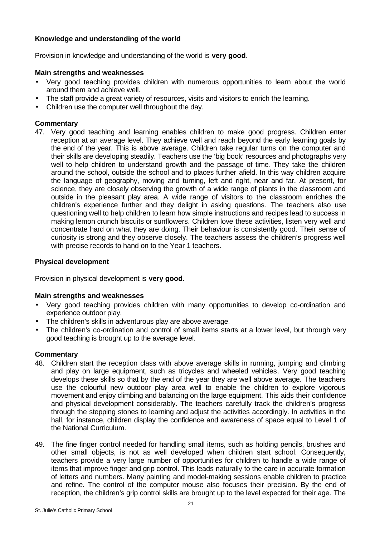## **Knowledge and understanding of the world**

Provision in knowledge and understanding of the world is **very good**.

## **Main strengths and weaknesses**

- Very good teaching provides children with numerous opportunities to learn about the world around them and achieve well.
- The staff provide a great variety of resources, visits and visitors to enrich the learning.
- Children use the computer well throughout the day.

## **Commentary**

47. Very good teaching and learning enables children to make good progress. Children enter reception at an average level. They achieve well and reach beyond the early learning goals by the end of the year. This is above average. Children take regular turns on the computer and their skills are developing steadily. Teachers use the 'big book' resources and photographs very well to help children to understand growth and the passage of time. They take the children around the school, outside the school and to places further afield. In this way children acquire the language of geography, moving and turning, left and right, near and far. At present, for science, they are closely observing the growth of a wide range of plants in the classroom and outside in the pleasant play area. A wide range of visitors to the classroom enriches the children's experience further and they delight in asking questions. The teachers also use questioning well to help children to learn how simple instructions and recipes lead to success in making lemon crunch biscuits or sunflowers. Children love these activities, listen very well and concentrate hard on what they are doing. Their behaviour is consistently good. Their sense of curiosity is strong and they observe closely. The teachers assess the children's progress well with precise records to hand on to the Year 1 teachers.

## **Physical development**

Provision in physical development is **very good**.

## **Main strengths and weaknesses**

- Very good teaching provides children with many opportunities to develop co-ordination and experience outdoor play.
- The children's skills in adventurous play are above average.
- The children's co-ordination and control of small items starts at a lower level, but through very good teaching is brought up to the average level.

- 48. Children start the reception class with above average skills in running, jumping and climbing and play on large equipment, such as tricycles and wheeled vehicles. Very good teaching develops these skills so that by the end of the year they are well above average. The teachers use the colourful new outdoor play area well to enable the children to explore vigorous movement and enjoy climbing and balancing on the large equipment. This aids their confidence and physical development considerably. The teachers carefully track the children's progress through the stepping stones to learning and adjust the activities accordingly. In activities in the hall, for instance, children display the confidence and awareness of space equal to Level 1 of the National Curriculum.
- 49. The fine finger control needed for handling small items, such as holding pencils, brushes and other small objects, is not as well developed when children start school. Consequently, teachers provide a very large number of opportunities for children to handle a wide range of items that improve finger and grip control. This leads naturally to the care in accurate formation of letters and numbers. Many painting and model-making sessions enable children to practice and refine. The control of the computer mouse also focuses their precision. By the end of reception, the children's grip control skills are brought up to the level expected for their age. The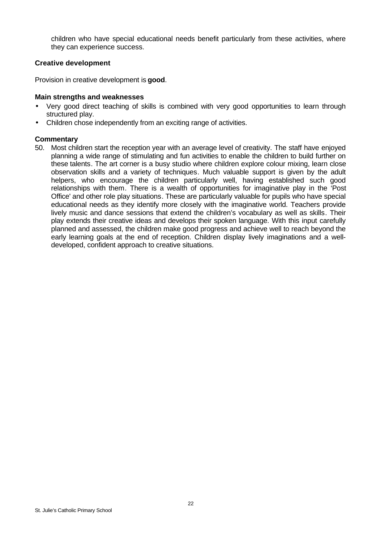children who have special educational needs benefit particularly from these activities, where they can experience success.

#### **Creative development**

Provision in creative development is **good**.

#### **Main strengths and weaknesses**

- Very good direct teaching of skills is combined with very good opportunities to learn through structured play.
- Children chose independently from an exciting range of activities.

#### **Commentary**

50. Most children start the reception year with an average level of creativity. The staff have enjoyed planning a wide range of stimulating and fun activities to enable the children to build further on these talents. The art corner is a busy studio where children explore colour mixing, learn close observation skills and a variety of techniques. Much valuable support is given by the adult helpers, who encourage the children particularly well, having established such good relationships with them. There is a wealth of opportunities for imaginative play in the 'Post Office' and other role play situations. These are particularly valuable for pupils who have special educational needs as they identify more closely with the imaginative world. Teachers provide lively music and dance sessions that extend the children's vocabulary as well as skills. Their play extends their creative ideas and develops their spoken language. With this input carefully planned and assessed, the children make good progress and achieve well to reach beyond the early learning goals at the end of reception. Children display lively imaginations and a welldeveloped, confident approach to creative situations.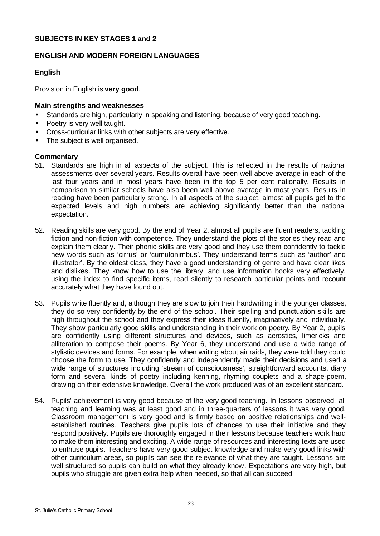#### **SUBJECTS IN KEY STAGES 1 and 2**

#### **ENGLISH AND MODERN FOREIGN LANGUAGES**

## **English**

Provision in English is **very good**.

#### **Main strengths and weaknesses**

- Standards are high, particularly in speaking and listening, because of very good teaching.
- Poetry is very well taught.
- Cross-curricular links with other subjects are very effective.
- The subject is well organised.

- 51. Standards are high in all aspects of the subject. This is reflected in the results of national assessments over several years. Results overall have been well above average in each of the last four years and in most years have been in the top 5 per cent nationally. Results in comparison to similar schools have also been well above average in most years. Results in reading have been particularly strong. In all aspects of the subject, almost all pupils get to the expected levels and high numbers are achieving significantly better than the national expectation.
- 52. Reading skills are very good. By the end of Year 2, almost all pupils are fluent readers, tackling fiction and non-fiction with competence. They understand the plots of the stories they read and explain them clearly. Their phonic skills are very good and they use them confidently to tackle new words such as 'cirrus' or 'cumulonimbus'. They understand terms such as 'author' and 'illustrator'. By the oldest class, they have a good understanding of genre and have clear likes and dislikes. They know how to use the library, and use information books very effectively, using the index to find specific items, read silently to research particular points and recount accurately what they have found out.
- 53. Pupils write fluently and, although they are slow to join their handwriting in the younger classes, they do so very confidently by the end of the school. Their spelling and punctuation skills are high throughout the school and they express their ideas fluently, imaginatively and individually. They show particularly good skills and understanding in their work on poetry. By Year 2, pupils are confidently using different structures and devices, such as acrostics, limericks and alliteration to compose their poems. By Year 6, they understand and use a wide range of stylistic devices and forms. For example, when writing about air raids, they were told they could choose the form to use. They confidently and independently made their decisions and used a wide range of structures including 'stream of consciousness', straightforward accounts, diary form and several kinds of poetry including kenning, rhyming couplets and a shape-poem, drawing on their extensive knowledge. Overall the work produced was of an excellent standard.
- 54. Pupils' achievement is very good because of the very good teaching. In lessons observed, all teaching and learning was at least good and in three-quarters of lessons it was very good. Classroom management is very good and is firmly based on positive relationships and wellestablished routines. Teachers give pupils lots of chances to use their initiative and they respond positively. Pupils are thoroughly engaged in their lessons because teachers work hard to make them interesting and exciting. A wide range of resources and interesting texts are used to enthuse pupils. Teachers have very good subject knowledge and make very good links with other curriculum areas, so pupils can see the relevance of what they are taught. Lessons are well structured so pupils can build on what they already know. Expectations are very high, but pupils who struggle are given extra help when needed, so that all can succeed.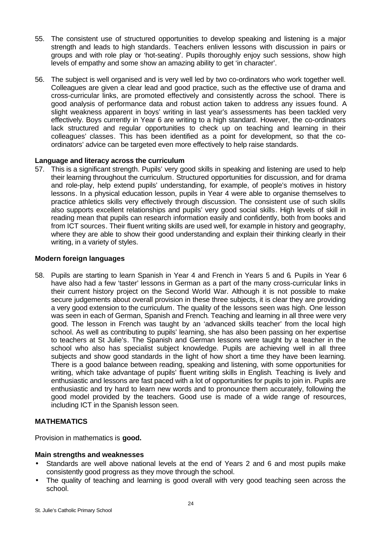- 55. The consistent use of structured opportunities to develop speaking and listening is a major strength and leads to high standards. Teachers enliven lessons with discussion in pairs or groups and with role play or 'hot-seating'. Pupils thoroughly enjoy such sessions, show high levels of empathy and some show an amazing ability to get 'in character'.
- 56. The subject is well organised and is very well led by two co-ordinators who work together well. Colleagues are given a clear lead and good practice, such as the effective use of drama and cross-curricular links, are promoted effectively and consistently across the school. There is good analysis of performance data and robust action taken to address any issues found. A slight weakness apparent in boys' writing in last year's assessments has been tackled very effectively. Boys currently in Year 6 are writing to a high standard. However, the co-ordinators lack structured and regular opportunities to check up on teaching and learning in their colleagues' classes. This has been identified as a point for development, so that the coordinators' advice can be targeted even more effectively to help raise standards.

## **Language and literacy across the curriculum**

57. This is a significant strength. Pupils' very good skills in speaking and listening are used to help their learning throughout the curriculum. Structured opportunities for discussion, and for drama and role-play, help extend pupils' understanding, for example, of people's motives in history lessons. In a physical education lesson, pupils in Year 4 were able to organise themselves to practice athletics skills very effectively through discussion. The consistent use of such skills also supports excellent relationships and pupils' very good social skills. High levels of skill in reading mean that pupils can research information easily and confidently, both from books and from ICT sources. Their fluent writing skills are used well, for example in history and geography, where they are able to show their good understanding and explain their thinking clearly in their writing, in a variety of styles.

#### **Modern foreign languages**

58. Pupils are starting to learn Spanish in Year 4 and French in Years 5 and 6. Pupils in Year 6 have also had a few 'taster' lessons in German as a part of the many cross-curricular links in their current history project on the Second World War. Although it is not possible to make secure judgements about overall provision in these three subjects, it is clear they are providing a very good extension to the curriculum. The quality of the lessons seen was high. One lesson was seen in each of German, Spanish and French. Teaching and learning in all three were very good. The lesson in French was taught by an 'advanced skills teacher' from the local high school. As well as contributing to pupils' learning, she has also been passing on her expertise to teachers at St Julie's. The Spanish and German lessons were taught by a teacher in the school who also has specialist subject knowledge. Pupils are achieving well in all three subjects and show good standards in the light of how short a time they have been learning. There is a good balance between reading, speaking and listening, with some opportunities for writing, which take advantage of pupils' fluent writing skills in English. Teaching is lively and enthusiastic and lessons are fast paced with a lot of opportunities for pupils to join in. Pupils are enthusiastic and try hard to learn new words and to pronounce them accurately, following the good model provided by the teachers. Good use is made of a wide range of resources, including ICT in the Spanish lesson seen.

## **MATHEMATICS**

Provision in mathematics is **good.**

#### **Main strengths and weaknesses**

- Standards are well above national levels at the end of Years 2 and 6 and most pupils make consistently good progress as they move through the school.
- The quality of teaching and learning is good overall with very good teaching seen across the school.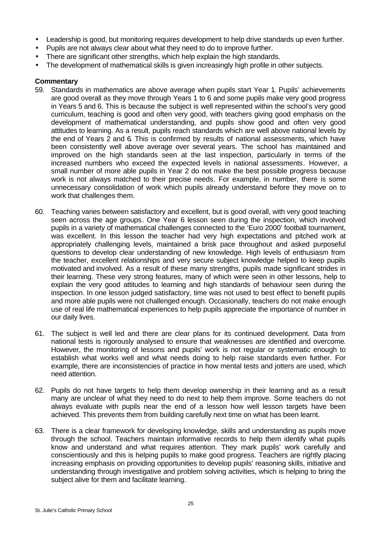- Leadership is good, but monitoring requires development to help drive standards up even further.
- Pupils are not always clear about what they need to do to improve further.
- There are significant other strengths, which help explain the high standards.
- The development of mathematical skills is given increasingly high profile in other subjects.

- 59. Standards in mathematics are above average when pupils start Year 1. Pupils' achievements are good overall as they move through Years 1 to 6 and some pupils make very good progress in Years 5 and 6. This is because the subject is well represented within the school's very good curriculum, teaching is good and often very good, with teachers giving good emphasis on the development of mathematical understanding, and pupils show good and often very good attitudes to learning. As a result, pupils reach standards which are well above national levels by the end of Years 2 and 6. This is confirmed by results of national assessments, which have been consistently well above average over several years. The school has maintained and improved on the high standards seen at the last inspection, particularly in terms of the increased numbers who exceed the expected levels in national assessments. However, a small number of more able pupils in Year 2 do not make the best possible progress because work is not always matched to their precise needs. For example, in number, there is some unnecessary consolidation of work which pupils already understand before they move on to work that challenges them.
- 60. Teaching varies between satisfactory and excellent, but is good overall, with very good teaching seen across the age groups. One Year 6 lesson seen during the inspection, which involved pupils in a variety of mathematical challenges connected to the 'Euro 2000' football tournament, was excellent. In this lesson the teacher had very high expectations and pitched work at appropriately challenging levels, maintained a brisk pace throughout and asked purposeful questions to develop clear understanding of new knowledge. High levels of enthusiasm from the teacher, excellent relationships and very secure subject knowledge helped to keep pupils motivated and involved. As a result of these many strengths, pupils made significant strides in their learning. These very strong features, many of which were seen in other lessons, help to explain the very good attitudes to learning and high standards of behaviour seen during the inspection. In one lesson judged satisfactory, time was not used to best effect to benefit pupils and more able pupils were not challenged enough. Occasionally, teachers do not make enough use of real life mathematical experiences to help pupils appreciate the importance of number in our daily lives.
- 61. The subject is well led and there are clear plans for its continued development. Data from national tests is rigorously analysed to ensure that weaknesses are identified and overcome. However, the monitoring of lessons and pupils' work is not regular or systematic enough to establish what works well and what needs doing to help raise standards even further. For example, there are inconsistencies of practice in how mental tests and jotters are used, which need attention.
- 62. Pupils do not have targets to help them develop ownership in their learning and as a result many are unclear of what they need to do next to help them improve. Some teachers do not always evaluate with pupils near the end of a lesson how well lesson targets have been achieved. This prevents them from building carefully next time on what has been learnt.
- 63. There is a clear framework for developing knowledge, skills and understanding as pupils move through the school. Teachers maintain informative records to help them identify what pupils know and understand and what requires attention. They mark pupils' work carefully and conscientiously and this is helping pupils to make good progress. Teachers are rightly placing increasing emphasis on providing opportunities to develop pupils' reasoning skills, initiative and understanding through investigative and problem solving activities, which is helping to bring the subject alive for them and facilitate learning.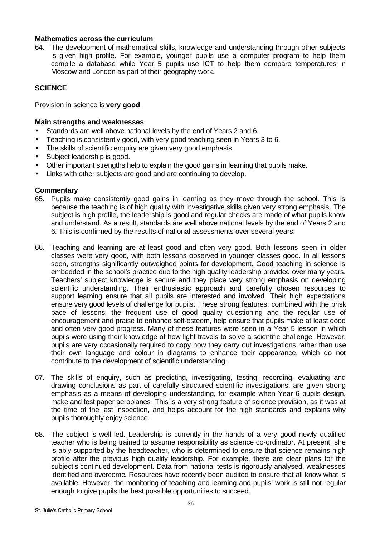#### **Mathematics across the curriculum**

64. The development of mathematical skills, knowledge and understanding through other subjects is given high profile. For example, younger pupils use a computer program to help them compile a database while Year 5 pupils use ICT to help them compare temperatures in Moscow and London as part of their geography work.

## **SCIENCE**

Provision in science is **very good**.

#### **Main strengths and weaknesses**

- Standards are well above national levels by the end of Years 2 and 6.
- Teaching is consistently good, with very good teaching seen in Years 3 to 6.
- The skills of scientific enquiry are given very good emphasis.
- Subject leadership is good.
- Other important strengths help to explain the good gains in learning that pupils make.
- Links with other subjects are good and are continuing to develop.

- 65. Pupils make consistently good gains in learning as they move through the school. This is because the teaching is of high quality with investigative skills given very strong emphasis. The subject is high profile, the leadership is good and regular checks are made of what pupils know and understand. As a result, standards are well above national levels by the end of Years 2 and 6. This is confirmed by the results of national assessments over several years.
- 66. Teaching and learning are at least good and often very good. Both lessons seen in older classes were very good, with both lessons observed in younger classes good. In all lessons seen, strengths significantly outweighed points for development. Good teaching in science is embedded in the school's practice due to the high quality leadership provided over many years. Teachers' subject knowledge is secure and they place very strong emphasis on developing scientific understanding. Their enthusiastic approach and carefully chosen resources to support learning ensure that all pupils are interested and involved. Their high expectations ensure very good levels of challenge for pupils. These strong features, combined with the brisk pace of lessons, the frequent use of good quality questioning and the regular use of encouragement and praise to enhance self-esteem, help ensure that pupils make at least good and often very good progress. Many of these features were seen in a Year 5 lesson in which pupils were using their knowledge of how light travels to solve a scientific challenge. However, pupils are very occasionally required to copy how they carry out investigations rather than use their own language and colour in diagrams to enhance their appearance, which do not contribute to the development of scientific understanding.
- 67. The skills of enquiry, such as predicting, investigating, testing, recording, evaluating and drawing conclusions as part of carefully structured scientific investigations, are given strong emphasis as a means of developing understanding, for example when Year 6 pupils design, make and test paper aeroplanes. This is a very strong feature of science provision, as it was at the time of the last inspection, and helps account for the high standards and explains why pupils thoroughly enjoy science.
- 68. The subject is well led. Leadership is currently in the hands of a very good newly qualified teacher who is being trained to assume responsibility as science co-ordinator. At present, she is ably supported by the headteacher, who is determined to ensure that science remains high profile after the previous high quality leadership. For example, there are clear plans for the subject's continued development. Data from national tests is rigorously analysed, weaknesses identified and overcome. Resources have recently been audited to ensure that all know what is available. However, the monitoring of teaching and learning and pupils' work is still not regular enough to give pupils the best possible opportunities to succeed.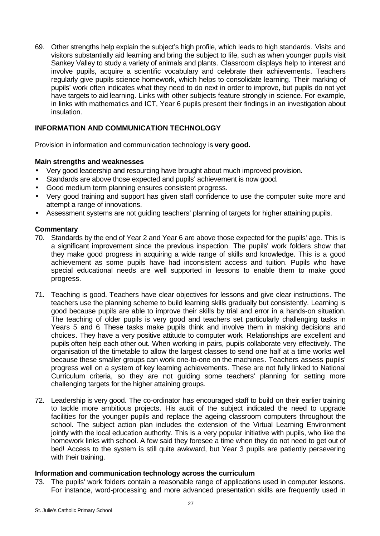69. Other strengths help explain the subject's high profile, which leads to high standards. Visits and visitors substantially aid learning and bring the subject to life, such as when younger pupils visit Sankey Valley to study a variety of animals and plants. Classroom displays help to interest and involve pupils, acquire a scientific vocabulary and celebrate their achievements. Teachers regularly give pupils science homework, which helps to consolidate learning. Their marking of pupils' work often indicates what they need to do next in order to improve, but pupils do not yet have targets to aid learning. Links with other subjects feature strongly in science. For example, in links with mathematics and ICT, Year 6 pupils present their findings in an investigation about insulation.

## **INFORMATION AND COMMUNICATION TECHNOLOGY**

Provision in information and communication technology is **very good.**

## **Main strengths and weaknesses**

- Very good leadership and resourcing have brought about much improved provision.
- Standards are above those expected and pupils' achievement is now good.
- Good medium term planning ensures consistent progress.
- Very good training and support has given staff confidence to use the computer suite more and attempt a range of innovations.
- Assessment systems are not guiding teachers' planning of targets for higher attaining pupils.

## **Commentary**

- 70. Standards by the end of Year 2 and Year 6 are above those expected for the pupils' age. This is a significant improvement since the previous inspection. The pupils' work folders show that they make good progress in acquiring a wide range of skills and knowledge. This is a good achievement as some pupils have had inconsistent access and tuition. Pupils who have special educational needs are well supported in lessons to enable them to make good progress.
- 71. Teaching is good. Teachers have clear objectives for lessons and give clear instructions. The teachers use the planning scheme to build learning skills gradually but consistently. Learning is good because pupils are able to improve their skills by trial and error in a hands-on situation. The teaching of older pupils is very good and teachers set particularly challenging tasks in Years 5 and 6 These tasks make pupils think and involve them in making decisions and choices. They have a very positive attitude to computer work. Relationships are excellent and pupils often help each other out. When working in pairs, pupils collaborate very effectively. The organisation of the timetable to allow the largest classes to send one half at a time works well because these smaller groups can work one-to-one on the machines. Teachers assess pupils' progress well on a system of key learning achievements. These are not fully linked to National Curriculum criteria, so they are not guiding some teachers' planning for setting more challenging targets for the higher attaining groups.
- 72. Leadership is very good. The co-ordinator has encouraged staff to build on their earlier training to tackle more ambitious projects. His audit of the subject indicated the need to upgrade facilities for the younger pupils and replace the ageing classroom computers throughout the school. The subject action plan includes the extension of the Virtual Learning Environment jointly with the local education authority. This is a very popular initiative with pupils, who like the homework links with school. A few said they foresee a time when they do not need to get out of bed! Access to the system is still quite awkward, but Year 3 pupils are patiently persevering with their training.

#### **Information and communication technology across the curriculum**

73. The pupils' work folders contain a reasonable range of applications used in computer lessons. For instance, word-processing and more advanced presentation skills are frequently used in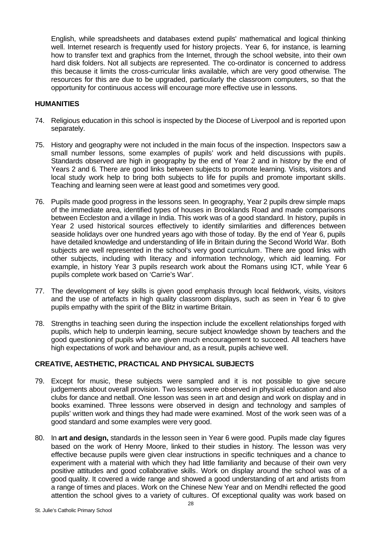English, while spreadsheets and databases extend pupils' mathematical and logical thinking well. Internet research is frequently used for history projects. Year 6, for instance, is learning how to transfer text and graphics from the Internet, through the school website, into their own hard disk folders. Not all subjects are represented. The co-ordinator is concerned to address this because it limits the cross-curricular links available, which are very good otherwise. The resources for this are due to be upgraded, particularly the classroom computers, so that the opportunity for continuous access will encourage more effective use in lessons.

#### **HUMANITIES**

- 74. Religious education in this school is inspected by the Diocese of Liverpool and is reported upon separately.
- 75. History and geography were not included in the main focus of the inspection. Inspectors saw a small number lessons, some examples of pupils' work and held discussions with pupils. Standards observed are high in geography by the end of Year 2 and in history by the end of Years 2 and 6. There are good links between subjects to promote learning. Visits, visitors and local study work help to bring both subjects to life for pupils and promote important skills. Teaching and learning seen were at least good and sometimes very good.
- 76. Pupils made good progress in the lessons seen. In geography, Year 2 pupils drew simple maps of the immediate area, identified types of houses in Brooklands Road and made comparisons between Eccleston and a village in India. This work was of a good standard. In history, pupils in Year 2 used historical sources effectively to identify similarities and differences between seaside holidays over one hundred years ago with those of today. By the end of Year 6, pupils have detailed knowledge and understanding of life in Britain during the Second World War. Both subjects are well represented in the school's very good curriculum. There are good links with other subjects, including with literacy and information technology, which aid learning. For example, in history Year 3 pupils research work about the Romans using ICT, while Year 6 pupils complete work based on 'Carrie's War'.
- 77. The development of key skills is given good emphasis through local fieldwork, visits, visitors and the use of artefacts in high quality classroom displays, such as seen in Year 6 to give pupils empathy with the spirit of the Blitz in wartime Britain.
- 78. Strengths in teaching seen during the inspection include the excellent relationships forged with pupils, which help to underpin learning, secure subject knowledge shown by teachers and the good questioning of pupils who are given much encouragement to succeed. All teachers have high expectations of work and behaviour and, as a result, pupils achieve well.

## **CREATIVE, AESTHETIC, PRACTICAL AND PHYSICAL SUBJECTS**

- 79. Except for music, these subjects were sampled and it is not possible to give secure judgements about overall provision. Two lessons were observed in physical education and also clubs for dance and netball. One lesson was seen in art and design and work on display and in books examined. Three lessons were observed in design and technology and samples of pupils' written work and things they had made were examined. Most of the work seen was of a good standard and some examples were very good.
- 80. In **art and design,** standards in the lesson seen in Year 6 were good. Pupils made clay figures based on the work of Henry Moore, linked to their studies in history. The lesson was very effective because pupils were given clear instructions in specific techniques and a chance to experiment with a material with which they had little familiarity and because of their own very positive attitudes and good collaborative skills. Work on display around the school was of a good quality. It covered a wide range and showed a good understanding of art and artists from a range of times and places. Work on the Chinese New Year and on Mendhi reflected the good attention the school gives to a variety of cultures. Of exceptional quality was work based on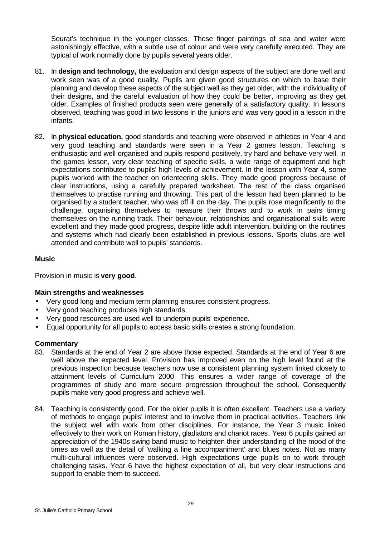Seurat's technique in the younger classes. These finger paintings of sea and water were astonishingly effective, with a subtle use of colour and were very carefully executed. They are typical of work normally done by pupils several years older.

- 81. In **design and technology,** the evaluation and design aspects of the subject are done well and work seen was of a good quality. Pupils are given good structures on which to base their planning and develop these aspects of the subject well as they get older, with the individuality of their designs, and the careful evaluation of how they could be better, improving as they get older. Examples of finished products seen were generally of a satisfactory quality. In lessons observed, teaching was good in two lessons in the juniors and was very good in a lesson in the infants.
- 82. In **physical education,** good standards and teaching were observed in athletics in Year 4 and very good teaching and standards were seen in a Year 2 games lesson. Teaching is enthusiastic and well organised and pupils respond positively, try hard and behave very well. In the games lesson, very clear teaching of specific skills, a wide range of equipment and high expectations contributed to pupils' high levels of achievement. In the lesson with Year 4, some pupils worked with the teacher on orienteering skills. They made good progress because of clear instructions, using a carefully prepared worksheet. The rest of the class organised themselves to practise running and throwing. This part of the lesson had been planned to be organised by a student teacher, who was off ill on the day. The pupils rose magnificently to the challenge, organising themselves to measure their throws and to work in pairs timing themselves on the running track. Their behaviour, relationships and organisational skills were excellent and they made good progress, despite little adult intervention, building on the routines and systems which had clearly been established in previous lessons. Sports clubs are well attended and contribute well to pupils' standards.

## **Music**

Provision in music is **very good**.

## **Main strengths and weaknesses**

- Very good long and medium term planning ensures consistent progress.
- Very good teaching produces high standards.
- Very good resources are used well to underpin pupils' experience.
- Equal opportunity for all pupils to access basic skills creates a strong foundation.

- 83. Standards at the end of Year 2 are above those expected. Standards at the end of Year 6 are well above the expected level. Provision has improved even on the high level found at the previous inspection because teachers now use a consistent planning system linked closely to attainment levels of Curriculum 2000. This ensures a wider range of coverage of the programmes of study and more secure progression throughout the school. Consequently pupils make very good progress and achieve well.
- 84. Teaching is consistently good. For the older pupils it is often excellent. Teachers use a variety of methods to engage pupils' interest and to involve them in practical activities. Teachers link the subject well with work from other disciplines. For instance, the Year 3 music linked effectively to their work on Roman history, gladiators and chariot races. Year 6 pupils gained an appreciation of the 1940s swing band music to heighten their understanding of the mood of the times as well as the detail of 'walking a line accompaniment' and blues notes. Not as many multi-cultural influences were observed. High expectations urge pupils on to work through challenging tasks. Year 6 have the highest expectation of all, but very clear instructions and support to enable them to succeed.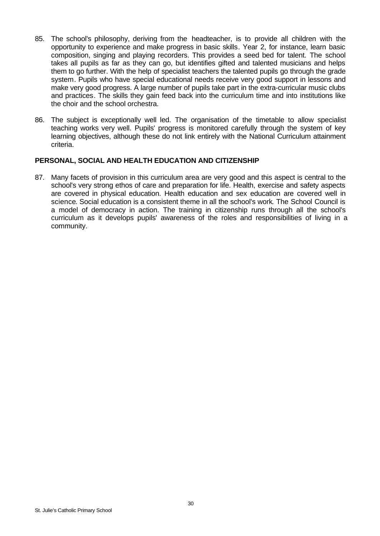- 85. The school's philosophy, deriving from the headteacher, is to provide all children with the opportunity to experience and make progress in basic skills. Year 2, for instance, learn basic composition, singing and playing recorders. This provides a seed bed for talent. The school takes all pupils as far as they can go, but identifies gifted and talented musicians and helps them to go further. With the help of specialist teachers the talented pupils go through the grade system. Pupils who have special educational needs receive very good support in lessons and make very good progress. A large number of pupils take part in the extra-curricular music clubs and practices. The skills they gain feed back into the curriculum time and into institutions like the choir and the school orchestra.
- 86. The subject is exceptionally well led. The organisation of the timetable to allow specialist teaching works very well. Pupils' progress is monitored carefully through the system of key learning objectives, although these do not link entirely with the National Curriculum attainment criteria.

#### **PERSONAL, SOCIAL AND HEALTH EDUCATION AND CITIZENSHIP**

87. Many facets of provision in this curriculum area are very good and this aspect is central to the school's very strong ethos of care and preparation for life. Health, exercise and safety aspects are covered in physical education. Health education and sex education are covered well in science. Social education is a consistent theme in all the school's work. The School Council is a model of democracy in action. The training in citizenship runs through all the school's curriculum as it develops pupils' awareness of the roles and responsibilities of living in a community.